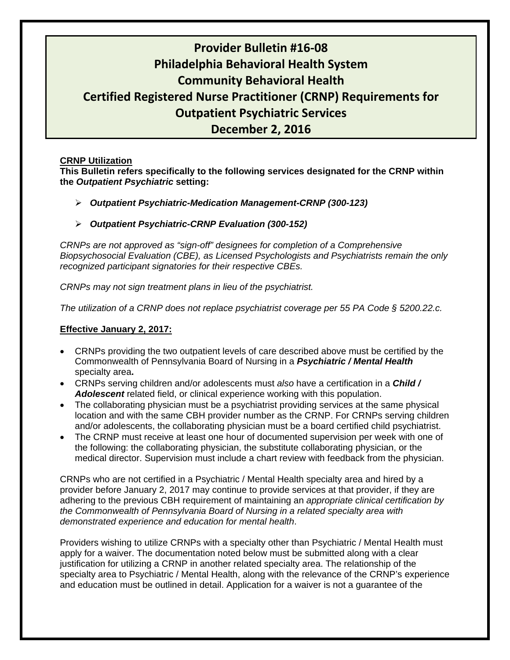# **Provider Bulletin #16‐08 Philadelphia Behavioral Health System Community Behavioral Health Certified Registered Nurse Practitioner (CRNP) Requirements for Outpatient Psychiatric Services December 2, 2016**

#### **CRNP Utilization**

**This Bulletin refers specifically to the following services designated for the CRNP within the** *Outpatient Psychiatric* **setting:** 

- *Outpatient Psychiatric-Medication Management-CRNP (300-123)*
- *Outpatient Psychiatric-CRNP Evaluation (300-152)*

*CRNPs are not approved as "sign-off" designees for completion of a Comprehensive Biopsychosocial Evaluation (CBE), as Licensed Psychologists and Psychiatrists remain the only recognized participant signatories for their respective CBEs.* 

*CRNPs may not sign treatment plans in lieu of the psychiatrist.* 

*The utilization of a CRNP does not replace psychiatrist coverage per 55 PA Code § 5200.22.c.* 

### **Effective January 2, 2017:**

- CRNPs providing the two outpatient levels of care described above must be certified by the Commonwealth of Pennsylvania Board of Nursing in a *Psychiatric / Mental Health* specialty area**.**
- CRNPs serving children and/or adolescents must *also* have a certification in a *Child / Adolescent* related field, or clinical experience working with this population.
- The collaborating physician must be a psychiatrist providing services at the same physical location and with the same CBH provider number as the CRNP. For CRNPs serving children and/or adolescents, the collaborating physician must be a board certified child psychiatrist.
- The CRNP must receive at least one hour of documented supervision per week with one of the following: the collaborating physician, the substitute collaborating physician, or the medical director. Supervision must include a chart review with feedback from the physician.

CRNPs who are not certified in a Psychiatric / Mental Health specialty area and hired by a provider before January 2, 2017 may continue to provide services at that provider, if they are adhering to the previous CBH requirement of maintaining an *appropriate clinical certification by the Commonwealth of Pennsylvania Board of Nursing in a related specialty area with demonstrated experience and education for mental health*.

Providers wishing to utilize CRNPs with a specialty other than Psychiatric / Mental Health must apply for a waiver. The documentation noted below must be submitted along with a clear justification for utilizing a CRNP in another related specialty area. The relationship of the specialty area to Psychiatric / Mental Health, along with the relevance of the CRNP's experience and education must be outlined in detail. Application for a waiver is not a guarantee of the